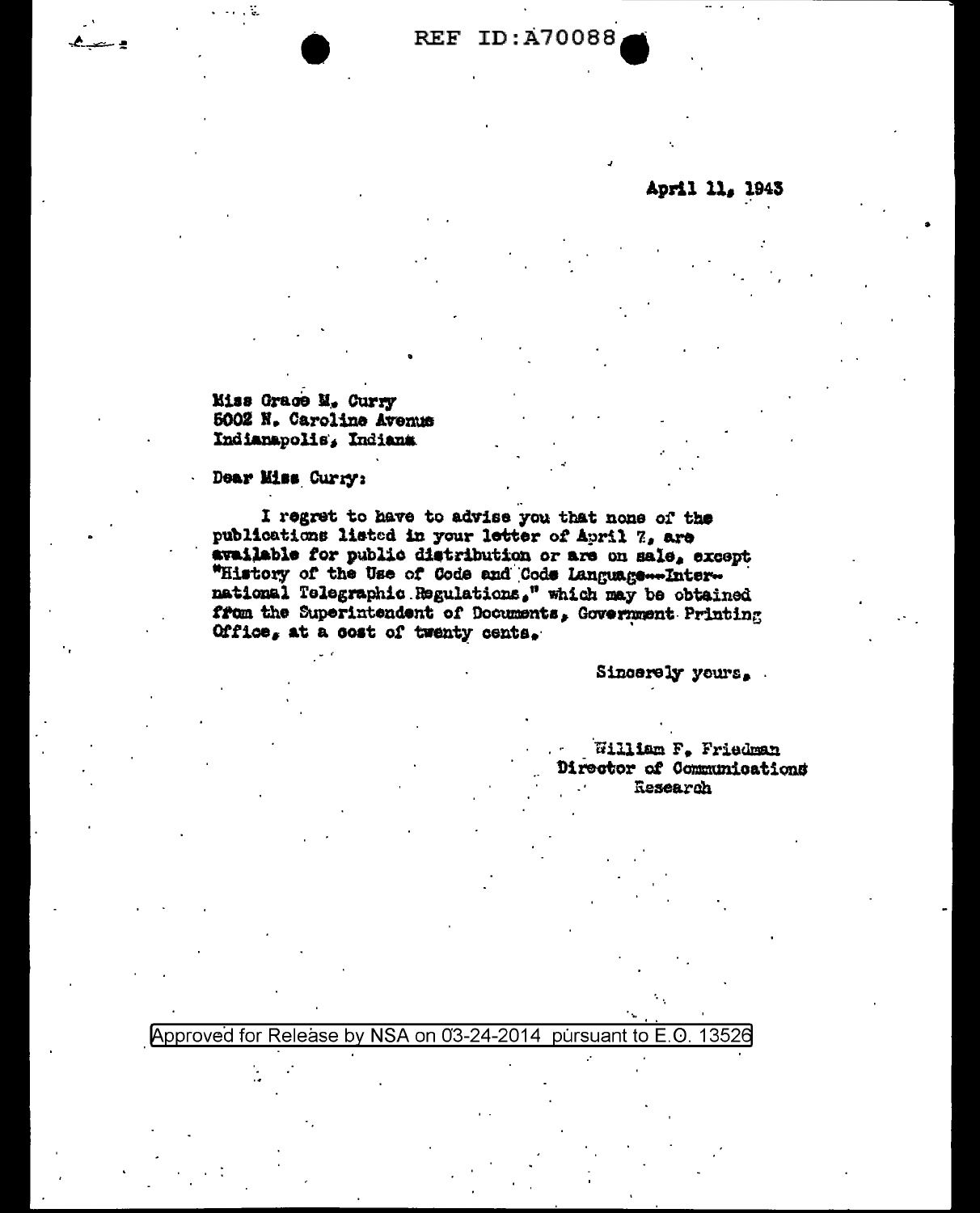**REF ID: A70088** 

April 11, 1943

**Kiss Grace M. Curry** 5002 N. Caroline Avenus Indianapolis, Indiana

Dear Miss Curry:

I regret to have to advise you that none of the publications listed in your letter of April 7, are available for public distribution or are on sale, except "History of the Use of Code and Code Language ... International Telegraphic Regulations." which may be obtained from the Superintendent of Documents, Government Printing Office, at a cost of twenty cents.

Sincerely yours.

William F. Friedman Director of Communications Research

Approved for Release by NSA on 03-24-2014 pursuant to E.O. 13526